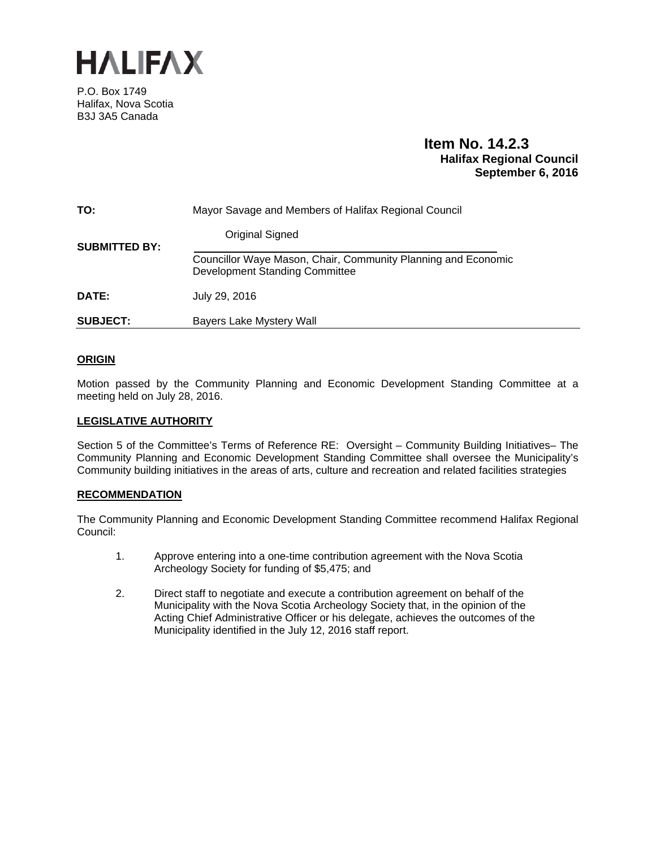

P.O. Box 1749 Halifax, Nova Scotia B3J 3A5 Canada

## **Item No. 14.2.3 Halifax Regional Council September 6, 2016**

| TO:                  | Mayor Savage and Members of Halifax Regional Council                                                   |
|----------------------|--------------------------------------------------------------------------------------------------------|
| <b>SUBMITTED BY:</b> | Original Signed                                                                                        |
|                      | Councillor Waye Mason, Chair, Community Planning and Economic<br><b>Development Standing Committee</b> |
| DATE:                | July 29, 2016                                                                                          |
| <b>SUBJECT:</b>      | <b>Bayers Lake Mystery Wall</b>                                                                        |

#### **ORIGIN**

Motion passed by the Community Planning and Economic Development Standing Committee at a meeting held on July 28, 2016.

#### **LEGISLATIVE AUTHORITY**

Section 5 of the Committee's Terms of Reference RE: Oversight – Community Building Initiatives– The Community Planning and Economic Development Standing Committee shall oversee the Municipality's Community building initiatives in the areas of arts, culture and recreation and related facilities strategies

#### **RECOMMENDATION**

The Community Planning and Economic Development Standing Committee recommend Halifax Regional Council:

- 1. Approve entering into a one-time contribution agreement with the Nova Scotia Archeology Society for funding of \$5,475; and
- 2. Direct staff to negotiate and execute a contribution agreement on behalf of the Municipality with the Nova Scotia Archeology Society that, in the opinion of the Acting Chief Administrative Officer or his delegate, achieves the outcomes of the Municipality identified in the July 12, 2016 staff report.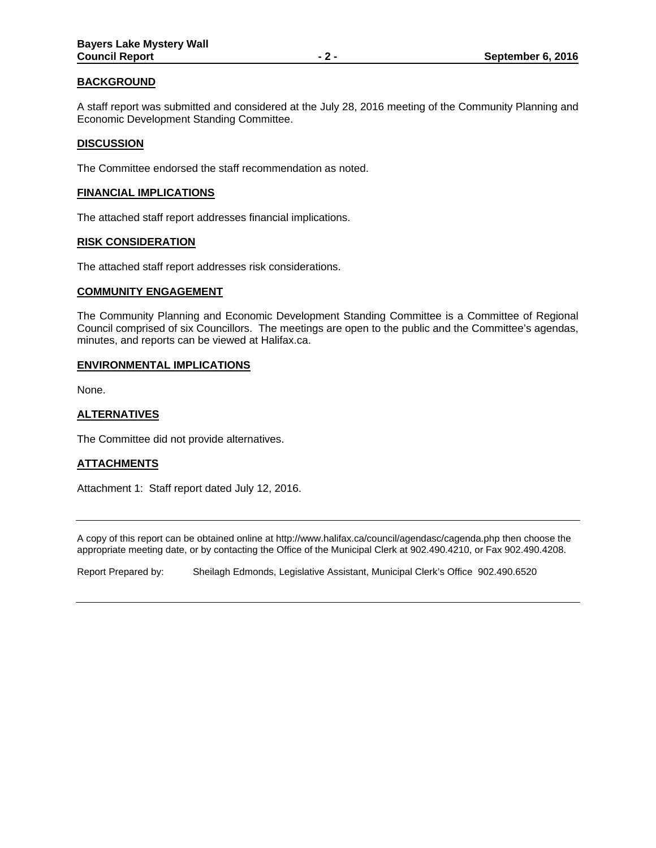#### **BACKGROUND**

A staff report was submitted and considered at the July 28, 2016 meeting of the Community Planning and Economic Development Standing Committee.

#### **DISCUSSION**

The Committee endorsed the staff recommendation as noted.

#### **FINANCIAL IMPLICATIONS**

The attached staff report addresses financial implications.

#### **RISK CONSIDERATION**

The attached staff report addresses risk considerations.

#### **COMMUNITY ENGAGEMENT**

The Community Planning and Economic Development Standing Committee is a Committee of Regional Council comprised of six Councillors. The meetings are open to the public and the Committee's agendas, minutes, and reports can be viewed at Halifax.ca.

#### **ENVIRONMENTAL IMPLICATIONS**

None.

## **ALTERNATIVES**

The Committee did not provide alternatives.

#### **ATTACHMENTS**

Attachment 1: Staff report dated July 12, 2016.

A copy of this report can be obtained online at http://www.halifax.ca/council/agendasc/cagenda.php then choose the appropriate meeting date, or by contacting the Office of the Municipal Clerk at 902.490.4210, or Fax 902.490.4208.

Report Prepared by: Sheilagh Edmonds, Legislative Assistant, Municipal Clerk's Office 902.490.6520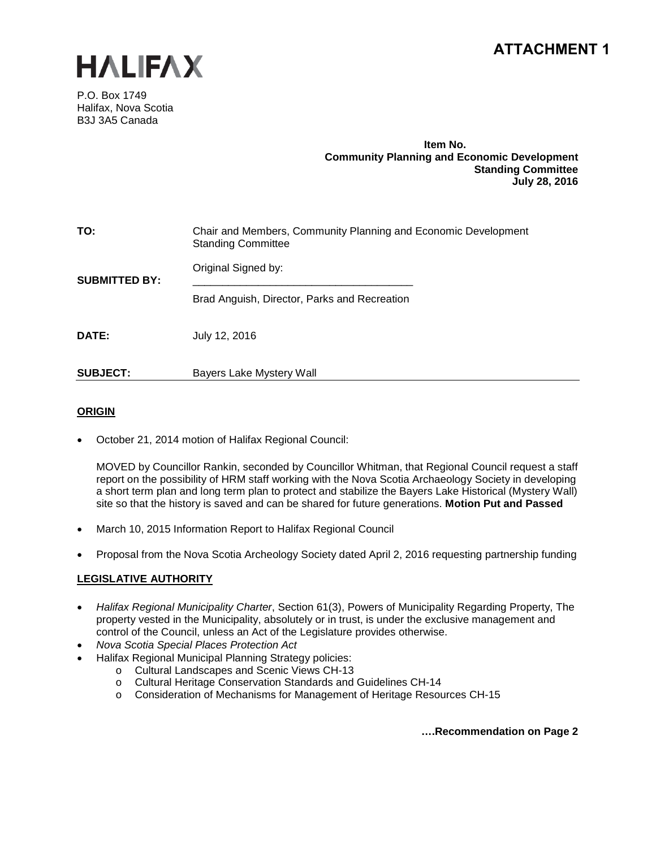## **ATTACHMENT 1**



P.O. Box 1749 Halifax, Nova Scotia B3J 3A5 Canada

#### **Item No. Community Planning and Economic Development Standing Committee July 28, 2016**

| TO:                  | Chair and Members, Community Planning and Economic Development<br><b>Standing Committee</b> |
|----------------------|---------------------------------------------------------------------------------------------|
| <b>SUBMITTED BY:</b> | Original Signed by:                                                                         |
|                      | Brad Anguish, Director, Parks and Recreation                                                |
| DATE:                | July 12, 2016                                                                               |
| <b>SUBJECT:</b>      | Bayers Lake Mystery Wall                                                                    |

## **ORIGIN**

• October 21, 2014 motion of Halifax Regional Council:

MOVED by Councillor Rankin, seconded by Councillor Whitman, that Regional Council request a staff report on the possibility of HRM staff working with the Nova Scotia Archaeology Society in developing a short term plan and long term plan to protect and stabilize the Bayers Lake Historical (Mystery Wall) site so that the history is saved and can be shared for future generations. **Motion Put and Passed**

- March 10, 2015 Information Report to Halifax Regional Council
- Proposal from the Nova Scotia Archeology Society dated April 2, 2016 requesting partnership funding

## **LEGISLATIVE AUTHORITY**

- *Halifax Regional Municipality Charter*, Section 61(3), Powers of Municipality Regarding Property, The property vested in the Municipality, absolutely or in trust, is under the exclusive management and control of the Council, unless an Act of the Legislature provides otherwise.
- *Nova Scotia Special Places Protection Act*
- Halifax Regional Municipal Planning Strategy policies:
	- o Cultural Landscapes and Scenic Views CH-13
	- o Cultural Heritage Conservation Standards and Guidelines CH-14
	- o Consideration of Mechanisms for Management of Heritage Resources CH-15

**….Recommendation on Page 2**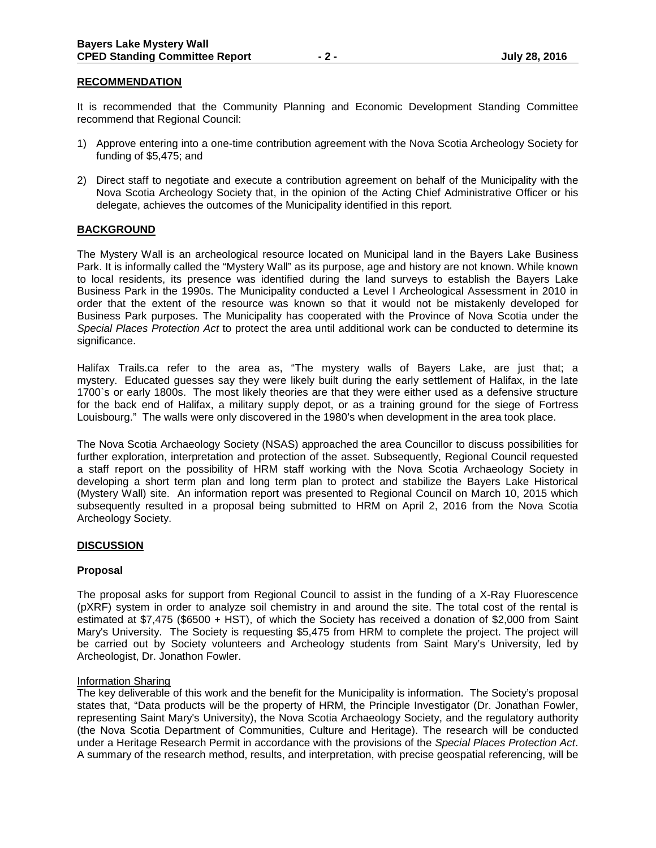#### **RECOMMENDATION**

It is recommended that the Community Planning and Economic Development Standing Committee recommend that Regional Council:

- 1) Approve entering into a one-time contribution agreement with the Nova Scotia Archeology Society for funding of \$5,475; and
- 2) Direct staff to negotiate and execute a contribution agreement on behalf of the Municipality with the Nova Scotia Archeology Society that, in the opinion of the Acting Chief Administrative Officer or his delegate, achieves the outcomes of the Municipality identified in this report.

#### **BACKGROUND**

The Mystery Wall is an archeological resource located on Municipal land in the Bayers Lake Business Park. It is informally called the "Mystery Wall" as its purpose, age and history are not known. While known to local residents, its presence was identified during the land surveys to establish the Bayers Lake Business Park in the 1990s. The Municipality conducted a Level I Archeological Assessment in 2010 in order that the extent of the resource was known so that it would not be mistakenly developed for Business Park purposes. The Municipality has cooperated with the Province of Nova Scotia under the *Special Places Protection Act* to protect the area until additional work can be conducted to determine its significance.

Halifax Trails.ca refer to the area as, "The mystery walls of Bayers Lake, are just that; a mystery. Educated guesses say they were likely built during the early settlement of Halifax, in the late 1700`s or early 1800s. The most likely theories are that they were either used as a defensive structure for the back end of Halifax, a military supply depot, or as a training ground for the siege of Fortress Louisbourg." The walls were only discovered in the 1980's when development in the area took place.

The Nova Scotia Archaeology Society (NSAS) approached the area Councillor to discuss possibilities for further exploration, interpretation and protection of the asset. Subsequently, Regional Council requested a staff report on the possibility of HRM staff working with the Nova Scotia Archaeology Society in developing a short term plan and long term plan to protect and stabilize the Bayers Lake Historical (Mystery Wall) site. An information report was presented to Regional Council on March 10, 2015 which subsequently resulted in a proposal being submitted to HRM on April 2, 2016 from the Nova Scotia Archeology Society.

#### **DISCUSSION**

#### **Proposal**

The proposal asks for support from Regional Council to assist in the funding of a X-Ray Fluorescence (pXRF) system in order to analyze soil chemistry in and around the site. The total cost of the rental is estimated at \$7,475 (\$6500 + HST), of which the Society has received a donation of \$2,000 from Saint Mary's University. The Society is requesting \$5,475 from HRM to complete the project. The project will be carried out by Society volunteers and Archeology students from Saint Mary's University, led by Archeologist, Dr. Jonathon Fowler.

#### Information Sharing

The key deliverable of this work and the benefit for the Municipality is information. The Society's proposal states that, "Data products will be the property of HRM, the Principle Investigator (Dr. Jonathan Fowler, representing Saint Mary's University), the Nova Scotia Archaeology Society, and the regulatory authority (the Nova Scotia Department of Communities, Culture and Heritage). The research will be conducted under a Heritage Research Permit in accordance with the provisions of the *Special Places Protection Act*. A summary of the research method, results, and interpretation, with precise geospatial referencing, will be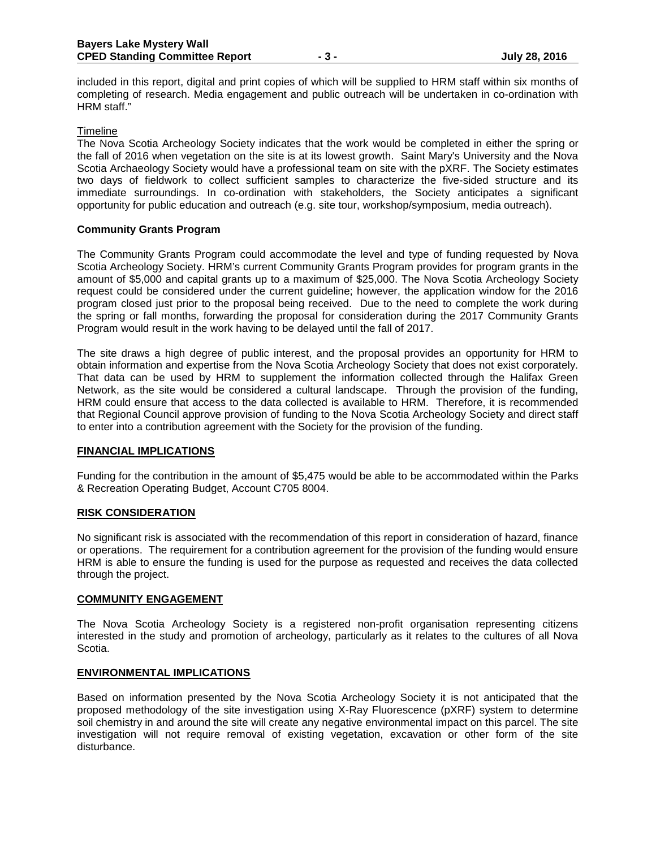included in this report, digital and print copies of which will be supplied to HRM staff within six months of completing of research. Media engagement and public outreach will be undertaken in co-ordination with HRM staff."

#### **Timeline**

The Nova Scotia Archeology Society indicates that the work would be completed in either the spring or the fall of 2016 when vegetation on the site is at its lowest growth. Saint Mary's University and the Nova Scotia Archaeology Society would have a professional team on site with the pXRF. The Society estimates two days of fieldwork to collect sufficient samples to characterize the five-sided structure and its immediate surroundings. In co-ordination with stakeholders, the Society anticipates a significant opportunity for public education and outreach (e.g. site tour, workshop/symposium, media outreach).

## **Community Grants Program**

The Community Grants Program could accommodate the level and type of funding requested by Nova Scotia Archeology Society. HRM's current Community Grants Program provides for program grants in the amount of \$5,000 and capital grants up to a maximum of \$25,000. The Nova Scotia Archeology Society request could be considered under the current guideline; however, the application window for the 2016 program closed just prior to the proposal being received. Due to the need to complete the work during the spring or fall months, forwarding the proposal for consideration during the 2017 Community Grants Program would result in the work having to be delayed until the fall of 2017.

The site draws a high degree of public interest, and the proposal provides an opportunity for HRM to obtain information and expertise from the Nova Scotia Archeology Society that does not exist corporately. That data can be used by HRM to supplement the information collected through the Halifax Green Network, as the site would be considered a cultural landscape. Through the provision of the funding, HRM could ensure that access to the data collected is available to HRM. Therefore, it is recommended that Regional Council approve provision of funding to the Nova Scotia Archeology Society and direct staff to enter into a contribution agreement with the Society for the provision of the funding.

#### **FINANCIAL IMPLICATIONS**

Funding for the contribution in the amount of \$5,475 would be able to be accommodated within the Parks & Recreation Operating Budget, Account C705 8004.

#### **RISK CONSIDERATION**

No significant risk is associated with the recommendation of this report in consideration of hazard, finance or operations. The requirement for a contribution agreement for the provision of the funding would ensure HRM is able to ensure the funding is used for the purpose as requested and receives the data collected through the project.

#### **COMMUNITY ENGAGEMENT**

The Nova Scotia Archeology Society is a registered non-profit organisation representing citizens interested in the study and promotion of archeology, particularly as it relates to the cultures of all Nova Scotia.

#### **ENVIRONMENTAL IMPLICATIONS**

Based on information presented by the Nova Scotia Archeology Society it is not anticipated that the proposed methodology of the site investigation using X-Ray Fluorescence (pXRF) system to determine soil chemistry in and around the site will create any negative environmental impact on this parcel. The site investigation will not require removal of existing vegetation, excavation or other form of the site disturbance.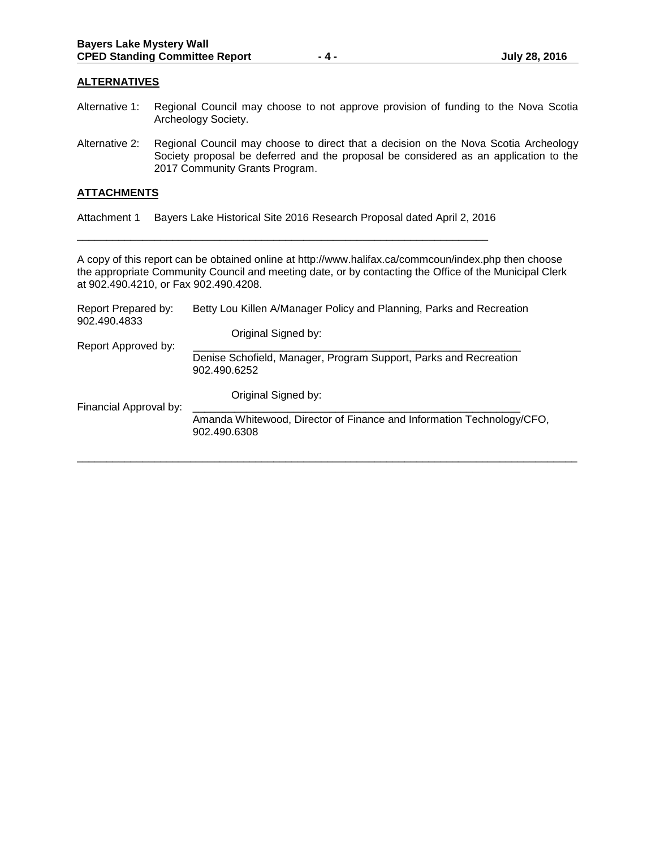#### **ALTERNATIVES**

- Alternative 1: Regional Council may choose to not approve provision of funding to the Nova Scotia Archeology Society.
- Alternative 2: Regional Council may choose to direct that a decision on the Nova Scotia Archeology Society proposal be deferred and the proposal be considered as an application to the 2017 Community Grants Program.

#### **ATTACHMENTS**

Attachment 1 Bayers Lake Historical Site 2016 Research Proposal dated April 2, 2016 \_\_\_\_\_\_\_\_\_\_\_\_\_\_\_\_\_\_\_\_\_\_\_\_\_\_\_\_\_\_\_\_\_\_\_\_\_\_\_\_\_\_\_\_\_\_\_\_\_\_\_\_\_\_\_\_\_\_\_\_\_\_\_\_\_\_\_\_\_

A copy of this report can be obtained online at http://www.halifax.ca/commcoun/index.php then choose the appropriate Community Council and meeting date, or by contacting the Office of the Municipal Clerk at 902.490.4210, or Fax 902.490.4208.

| Report Prepared by:<br>902.490.4833 | Betty Lou Killen A/Manager Policy and Planning, Parks and Recreation                  |
|-------------------------------------|---------------------------------------------------------------------------------------|
|                                     | Original Signed by:                                                                   |
| Report Approved by:                 |                                                                                       |
|                                     | Denise Schofield, Manager, Program Support, Parks and Recreation<br>902.490.6252      |
| Financial Approval by:              | Original Signed by:                                                                   |
|                                     | Amanda Whitewood, Director of Finance and Information Technology/CFO,<br>902.490.6308 |
|                                     |                                                                                       |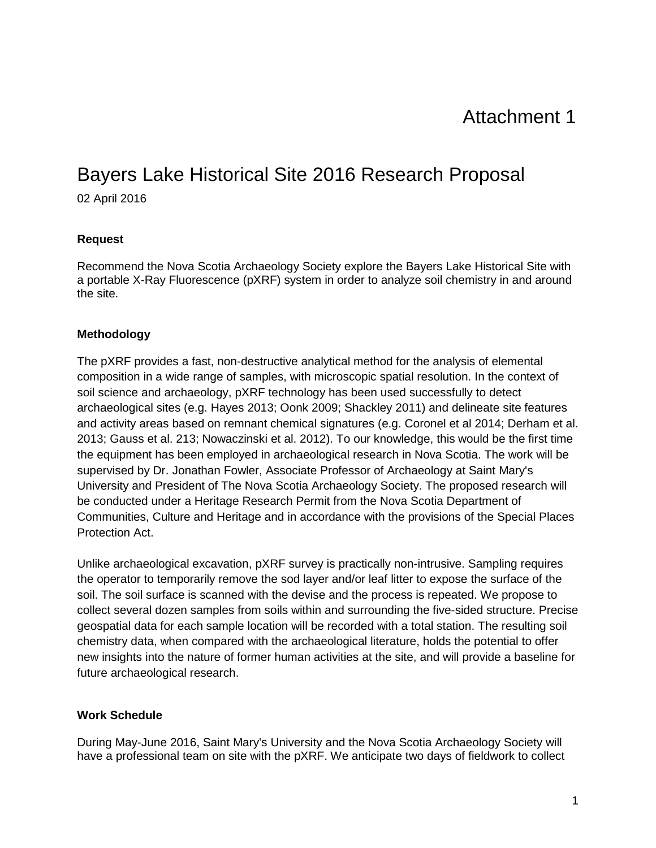# Attachment 1

# Bayers Lake Historical Site 2016 Research Proposal

02 April 2016

## **Request**

Recommend the Nova Scotia Archaeology Society explore the Bayers Lake Historical Site with a portable X-Ray Fluorescence (pXRF) system in order to analyze soil chemistry in and around the site.

## **Methodology**

The pXRF provides a fast, non-destructive analytical method for the analysis of elemental composition in a wide range of samples, with microscopic spatial resolution. In the context of soil science and archaeology, pXRF technology has been used successfully to detect archaeological sites (e.g. Hayes 2013; Oonk 2009; Shackley 2011) and delineate site features and activity areas based on remnant chemical signatures (e.g. Coronel et al 2014; Derham et al. 2013; Gauss et al. 213; Nowaczinski et al. 2012). To our knowledge, this would be the first time the equipment has been employed in archaeological research in Nova Scotia. The work will be supervised by Dr. Jonathan Fowler, Associate Professor of Archaeology at Saint Mary's University and President of The Nova Scotia Archaeology Society. The proposed research will be conducted under a Heritage Research Permit from the Nova Scotia Department of Communities, Culture and Heritage and in accordance with the provisions of the Special Places Protection Act.

Unlike archaeological excavation, pXRF survey is practically non-intrusive. Sampling requires the operator to temporarily remove the sod layer and/or leaf litter to expose the surface of the soil. The soil surface is scanned with the devise and the process is repeated. We propose to collect several dozen samples from soils within and surrounding the five-sided structure. Precise geospatial data for each sample location will be recorded with a total station. The resulting soil chemistry data, when compared with the archaeological literature, holds the potential to offer new insights into the nature of former human activities at the site, and will provide a baseline for future archaeological research.

## **Work Schedule**

During May-June 2016, Saint Mary's University and the Nova Scotia Archaeology Society will have a professional team on site with the pXRF. We anticipate two days of fieldwork to collect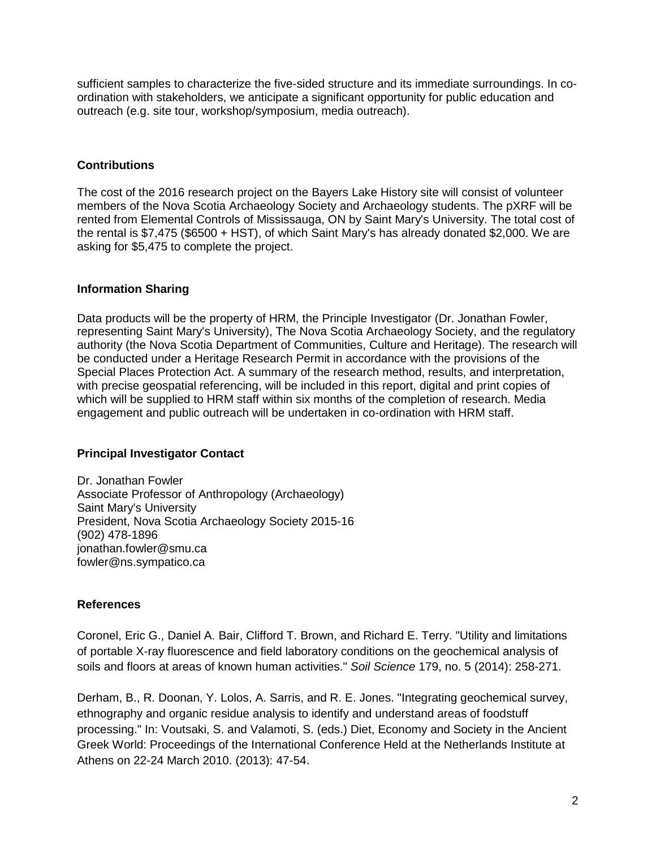sufficient samples to characterize the five-sided structure and its immediate surroundings. In coordination with stakeholders, we anticipate a significant opportunity for public education and outreach (e.g. site tour, workshop/symposium, media outreach).

## **Contributions**

The cost of the 2016 research project on the Bayers Lake History site will consist of volunteer members of the Nova Scotia Archaeology Society and Archaeology students. The pXRF will be rented from Elemental Controls of Mississauga, ON by Saint Mary's University. The total cost of the rental is \$7,475 (\$6500 + HST), of which Saint Mary's has already donated \$2,000. We are asking for \$5,475 to complete the project.

## **Information Sharing**

Data products will be the property of HRM, the Principle Investigator (Dr. Jonathan Fowler, representing Saint Mary's University), The Nova Scotia Archaeology Society, and the regulatory authority (the Nova Scotia Department of Communities, Culture and Heritage). The research will be conducted under a Heritage Research Permit in accordance with the provisions of the Special Places Protection Act. A summary of the research method, results, and interpretation, with precise geospatial referencing, will be included in this report, digital and print copies of which will be supplied to HRM staff within six months of the completion of research. Media engagement and public outreach will be undertaken in co-ordination with HRM staff.

## **Principal Investigator Contact**

Dr. Jonathan Fowler Associate Professor of Anthropology (Archaeology) Saint Mary's University President, Nova Scotia Archaeology Society 2015-16 (902) 478-1896 jonathan.fowler@smu.ca fowler@ns.sympatico.ca

## **References**

Coronel, Eric G., Daniel A. Bair, Clifford T. Brown, and Richard E. Terry. "Utility and limitations of portable X-ray fluorescence and field laboratory conditions on the geochemical analysis of soils and floors at areas of known human activities." *Soil Science* 179, no. 5 (2014): 258-271.

Derham, B., R. Doonan, Y. Lolos, A. Sarris, and R. E. Jones. "Integrating geochemical survey, ethnography and organic residue analysis to identify and understand areas of foodstuff processing." In: Voutsaki, S. and Valamoti, S. (eds.) Diet, Economy and Society in the Ancient Greek World: Proceedings of the International Conference Held at the Netherlands Institute at Athens on 22-24 March 2010. (2013): 47-54.